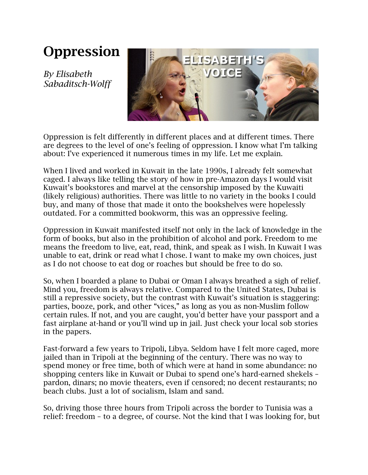## **Oppression**

*By Elisabeth Sabaditsch-Wolff*



Oppression is felt differently in different places and at different times. There are degrees to the level of one's feeling of oppression. I know what I'm talking about: I've experienced it numerous times in my life. Let me explain.

When I lived and worked in Kuwait in the late 1990s, I already felt somewhat caged. I always like telling the story of how in pre-Amazon days I would visit Kuwait's bookstores and marvel at the censorship imposed by the Kuwaiti (likely religious) authorities. There was little to no variety in the books I could buy, and many of those that made it onto the bookshelves were hopelessly outdated. For a committed bookworm, this was an oppressive feeling.

Oppression in Kuwait manifested itself not only in the lack of knowledge in the form of books, but also in the prohibition of alcohol and pork. Freedom to me means the freedom to live, eat, read, think, and speak as I wish. In Kuwait I was unable to eat, drink or read what I chose. I want to make my own choices, just as I do not choose to eat dog or roaches but should be free to do so.

So, when I boarded a plane to Dubai or Oman I always breathed a sigh of relief. Mind you, freedom is always relative. Compared to the United States, Dubai is still a repressive society, but the contrast with Kuwait's situation is staggering: parties, booze, pork, and other "vices," as long as you as non-Muslim follow certain rules. If not, and you are caught, you'd better have your passport and a fast airplane at-hand or you'll wind up in jail. Just check your local sob stories in the papers.

Fast-forward a few years to Tripoli, Libya. Seldom have I felt more caged, more jailed than in Tripoli at the beginning of the century. There was no way to spend money or free time, both of which were at hand in some abundance: no shopping centers like in Kuwait or Dubai to spend one's hard-earned shekels – pardon, dinars; no movie theaters, even if censored; no decent restaurants; no beach clubs. Just a lot of socialism, Islam and sand.

So, driving those three hours from Tripoli across the border to Tunisia was a relief: freedom – to a degree, of course. Not the kind that I was looking for, but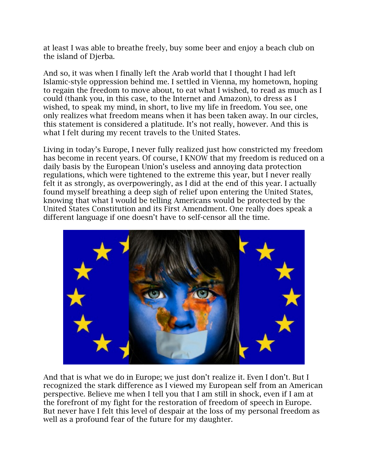at least I was able to breathe freely, buy some beer and enjoy a beach club on the island of Djerba.

And so, it was when I finally left the Arab world that I thought I had left Islamic-style oppression behind me. I settled in Vienna, my hometown, hoping to regain the freedom to move about, to eat what I wished, to read as much as I could (thank you, in this case, to the Internet and Amazon), to dress as I wished, to speak my mind, in short, to live my life in freedom. You see, one only realizes what freedom means when it has been taken away. In our circles, this statement is considered a platitude. It's not really, however. And this is what I felt during my recent travels to the United States.

Living in today's Europe, I never fully realized just how constricted my freedom has become in recent years. Of course, I KNOW that my freedom is reduced on a daily basis by the European Union's useless and annoying data protection regulations, which were tightened to the extreme this year, but I never really felt it as strongly, as overpoweringly, as I did at the end of this year. I actually found myself breathing a deep sigh of relief upon entering the United States, knowing that what I would be telling Americans would be protected by the United States Constitution and its First Amendment. One really does speak a different language if one doesn't have to self-censor all the time.



And that is what we do in Europe; we just don't realize it. Even I don't. But I recognized the stark difference as I viewed my European self from an American perspective. Believe me when I tell you that I am still in shock, even if I am at the forefront of my fight for the restoration of freedom of speech in Europe. But never have I felt this level of despair at the loss of my personal freedom as well as a profound fear of the future for my daughter.